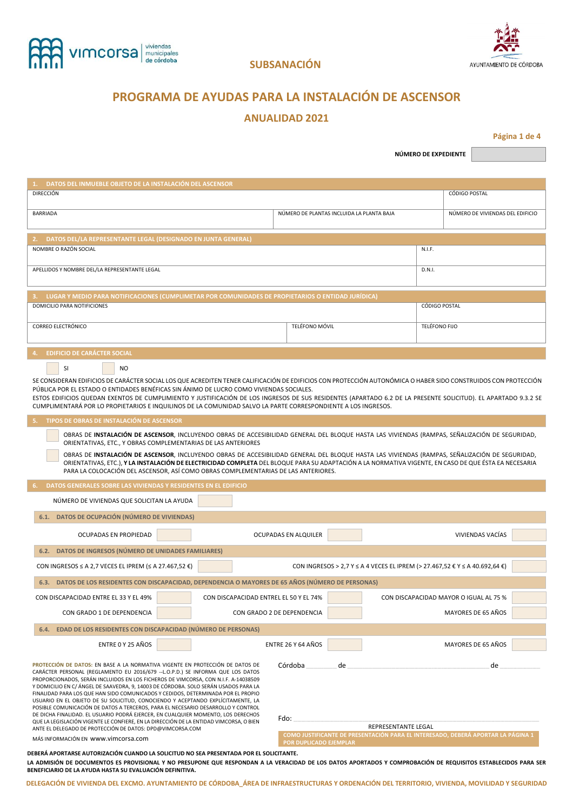



# **PROGRAMA DE AYUDAS PARA LA INSTALACIÓN DE ASCENSOR**

### **ANUALIDAD 2021**

**Página 1 de 4**

**NÚMERO DE EXPEDIENTE** 

| DATOS DEL INMUEBLE OBJETO DE LA INSTALACIÓN DEL ASCENSOR                                                                                                                                                                                                  |                                                                                          |                     |                                        |  |  |
|-----------------------------------------------------------------------------------------------------------------------------------------------------------------------------------------------------------------------------------------------------------|------------------------------------------------------------------------------------------|---------------------|----------------------------------------|--|--|
| <b>DIRECCIÓN</b>                                                                                                                                                                                                                                          |                                                                                          |                     | <b>CÓDIGO POSTAL</b>                   |  |  |
| <b>BARRIADA</b>                                                                                                                                                                                                                                           | NÚMERO DE PLANTAS INCLUIDA LA PLANTA BAJA                                                |                     | NÚMERO DE VIVIENDAS DEL EDIFICIO       |  |  |
|                                                                                                                                                                                                                                                           |                                                                                          |                     |                                        |  |  |
|                                                                                                                                                                                                                                                           |                                                                                          |                     |                                        |  |  |
| DATOS DEL/LA REPRESENTANTE LEGAL (DESIGNADO EN JUNTA GENERAL)<br>2.                                                                                                                                                                                       |                                                                                          |                     |                                        |  |  |
| NOMBRE O RAZÓN SOCIAL                                                                                                                                                                                                                                     |                                                                                          | N.I.F.              |                                        |  |  |
| APELLIDOS Y NOMBRE DEL/LA REPRESENTANTE LEGAL                                                                                                                                                                                                             |                                                                                          | D.N.I.              |                                        |  |  |
|                                                                                                                                                                                                                                                           |                                                                                          |                     |                                        |  |  |
|                                                                                                                                                                                                                                                           |                                                                                          |                     |                                        |  |  |
| LUGAR Y MEDIO PARA NOTIFICACIONES (CUMPLIMETAR POR COMUNIDADES DE PROPIETARIOS O ENTIDAD JURÍDICA)<br>DOMICILIO PARA NOTIFICIONES                                                                                                                         |                                                                                          | CÓDIGO POSTAL       |                                        |  |  |
|                                                                                                                                                                                                                                                           |                                                                                          |                     |                                        |  |  |
| <b>CORREO ELECTRÓNICO</b>                                                                                                                                                                                                                                 | TELÉFONO MÓVIL                                                                           | TELÉFONO FIJO       |                                        |  |  |
|                                                                                                                                                                                                                                                           |                                                                                          |                     |                                        |  |  |
| <b>EDIFICIO DE CARÁCTER SOCIAL</b><br>4.                                                                                                                                                                                                                  |                                                                                          |                     |                                        |  |  |
|                                                                                                                                                                                                                                                           |                                                                                          |                     |                                        |  |  |
| SI<br><b>NO</b>                                                                                                                                                                                                                                           |                                                                                          |                     |                                        |  |  |
| SE CONSIDERAN EDIFICIOS DE CARÁCTER SOCIAL LOS QUE ACREDITEN TENER CALIFICACIÓN DE EDIFICIOS CON PROTECCIÓN AUTONÓMICA O HABER SIDO CONSTRUIDOS CON PROTECCIÓN<br>PÚBLICA POR EL ESTADO O ENTIDADES BENÉFICAS SIN ÁNIMO DE LUCRO COMO VIVIENDAS SOCIALES. |                                                                                          |                     |                                        |  |  |
| ESTOS EDIFICIOS QUEDAN EXENTOS DE CUMPLIMIENTO Y JUSTIFICACIÓN DE LOS INGRESOS DE SUS RESIDENTES (APARTADO 6.2 DE LA PRESENTE SOLICITUD). EL APARTADO 9.3.2 SE                                                                                            |                                                                                          |                     |                                        |  |  |
| CUMPLIMENTARÁ POR LO PROPIETARIOS E INQUILINOS DE LA COMUNIDAD SALVO LA PARTE CORRESPONDIENTE A LOS INGRESOS.                                                                                                                                             |                                                                                          |                     |                                        |  |  |
| TIPOS DE OBRAS DE INSTALACIÓN DE ASCENSOR<br>5.                                                                                                                                                                                                           |                                                                                          |                     |                                        |  |  |
| OBRAS DE INSTALACIÓN DE ASCENSOR, INCLUYENDO OBRAS DE ACCESIBILIDAD GENERAL DEL BLOQUE HASTA LAS VIVIENDAS (RAMPAS, SEÑALIZACIÓN DE SEGURIDAD,                                                                                                            |                                                                                          |                     |                                        |  |  |
| ORIENTATIVAS, ETC., Y OBRAS COMPLEMENTARIAS DE LAS ANTERIORES                                                                                                                                                                                             |                                                                                          |                     |                                        |  |  |
| OBRAS DE INSTALACIÓN DE ASCENSOR, INCLUYENDO OBRAS DE ACCESIBILIDAD GENERAL DEL BLOQUE HASTA LAS VIVIENDAS (RAMPAS, SEÑALIZACIÓN DE SEGURIDAD,                                                                                                            |                                                                                          |                     |                                        |  |  |
| ORIENTATIVAS, ETC.), Y LA INSTALACIÓN DE ELECTRICIDAD COMPLETA DEL BLOQUE PARA SU ADAPTACIÓN A LA NORMATIVA VIGENTE, EN CASO DE QUE ÉSTA EA NECESARIA                                                                                                     |                                                                                          |                     |                                        |  |  |
| PARA LA COLOCACIÓN DEL ASCENSOR, ASÍ COMO OBRAS COMPLEMENTARIAS DE LAS ANTERIORES.                                                                                                                                                                        |                                                                                          |                     |                                        |  |  |
| DATOS GENERALES SOBRE LAS VIVIENDAS Y RESIDENTES EN EL EDIFICIO                                                                                                                                                                                           |                                                                                          |                     |                                        |  |  |
| NÚMERO DE VIVIENDAS QUE SOLICITAN LA AYUDA                                                                                                                                                                                                                |                                                                                          |                     |                                        |  |  |
| 6.1. DATOS DE OCUPACIÓN (NÚMERO DE VIVIENDAS)                                                                                                                                                                                                             |                                                                                          |                     |                                        |  |  |
|                                                                                                                                                                                                                                                           |                                                                                          |                     |                                        |  |  |
| OCUPADAS EN PROPIEDAD                                                                                                                                                                                                                                     | OCUPADAS EN ALQUILER                                                                     |                     | VIVIENDAS VACÍAS                       |  |  |
| 6.2. DATOS DE INGRESOS (NÚMERO DE UNIDADES FAMILIARES)                                                                                                                                                                                                    |                                                                                          |                     |                                        |  |  |
|                                                                                                                                                                                                                                                           |                                                                                          |                     |                                        |  |  |
| CON INGRESOS ≤ A 2,7 VECES EL IPREM (≤ A 27.467,52 €)                                                                                                                                                                                                     | CON INGRESOS > 2,7 Y ≤ A 4 VECES EL IPREM (> 27.467,52 € Y ≤ A 40.692,64 €)              |                     |                                        |  |  |
| 6.3. DATOS DE LOS RESIDENTES CON DISCAPACIDAD, DEPENDENCIA O MAYORES DE 65 AÑOS (NÚMERO DE PERSONAS)                                                                                                                                                      |                                                                                          |                     |                                        |  |  |
| CON DISCAPACIDAD ENTRE EL 33 Y EL 49%<br>CON DISCAPACIDAD ENTREL EL 50 Y EL 74%                                                                                                                                                                           |                                                                                          |                     | CON DISCAPACIDAD MAYOR O IGUAL AL 75 % |  |  |
|                                                                                                                                                                                                                                                           |                                                                                          |                     |                                        |  |  |
| CON GRADO 1 DE DEPENDENCIA                                                                                                                                                                                                                                | CON GRADO 2 DE DEPENDENCIA                                                               |                     | MAYORES DE 65 AÑOS                     |  |  |
| 6.4. EDAD DE LOS RESIDENTES CON DISCAPACIDAD (NÚMERO DE PERSONAS)                                                                                                                                                                                         |                                                                                          |                     |                                        |  |  |
| ENTRE 0 Y 25 AÑOS                                                                                                                                                                                                                                         | <b>ENTRE 26 Y 64 AÑOS</b>                                                                |                     | MAYORES DE 65 AÑOS                     |  |  |
|                                                                                                                                                                                                                                                           |                                                                                          |                     |                                        |  |  |
| PROTECCIÓN DE DATOS: EN BASE A LA NORMATIVA VIGENTE EN PROTECCIÓN DE DATOS DE                                                                                                                                                                             | Córdoba<br>de                                                                            |                     | de                                     |  |  |
| CARÁCTER PERSONAL (REGLAMENTO EU 2016/679 --L.O.P.D.) SE INFORMA QUE LOS DATOS<br>PROPORCIONADOS, SERÁN INCLUIDOS EN LOS FICHEROS DE VIMCORSA, CON N.I.F. A-14038509                                                                                      |                                                                                          |                     |                                        |  |  |
| Y DOMICILIO EN C/ÁNGEL DE SAAVEDRA, 9, 14003 DE CÓRDOBA. SOLO SERÁN USADOS PARA LA                                                                                                                                                                        |                                                                                          |                     |                                        |  |  |
| FINALIDAD PARA LOS QUE HAN SIDO COMUNICADOS Y CEDIDOS, DETERMINADA POR EL PROPIO<br>USUARIO EN EL OBJETO DE SU SOLICITUD, CONOCIENDO Y ACEPTANDO EXPLÍCITAMENTE, LA                                                                                       |                                                                                          |                     |                                        |  |  |
| POSIBLE COMUNICACIÓN DE DATOS A TERCEROS, PARA EL NECESARIO DESARROLLO Y CONTROL<br>DE DICHA FINALIDAD. EL USUARIO PODRÁ EJERCER, EN CUALQUIER MOMENTO, LOS DERECHOS                                                                                      |                                                                                          |                     |                                        |  |  |
| QUE LA LEGISLACIÓN VIGENTE LE CONFIERE, EN LA DIRECCIÓN DE LA ENTIDAD VIMCORSA, O BIEN                                                                                                                                                                    | Fdo:                                                                                     | REPRESENTANTE LEGAL |                                        |  |  |
| ANTE EL DELEGADO DE PROTECCIÓN DE DATOS: DPD@VIMCORSA.COM<br>MÁS INFORMACIÓN EN WWW.VIMCOFSA.COM                                                                                                                                                          | COMO JUSTIFICANTE DE PRESENTACIÓN PARA E <u>L INTERESADO, DEBERÁ APORTAR LA PÁGINA 1</u> |                     |                                        |  |  |
|                                                                                                                                                                                                                                                           | POR DUPLICADO EJEMPLAR                                                                   |                     |                                        |  |  |
| DEBERÁ APORTARSE AUTORIZACIÓN CUANDO LA SOLICITUD NO SEA PRESENTADA POR EL SOLICITANTE.                                                                                                                                                                   |                                                                                          |                     |                                        |  |  |

**LA ADMISIÓN DE DOCUMENTOS ES PROVISIONAL Y NO PRESUPONE QUE RESPONDAN A LA VERACIDAD DE LOS DATOS APORTADOS Y COMPROBACIÓN DE REQUISITOS ESTABLECIDOS PARA SER BENEFICIARIO DE LA AYUDA HASTA SU EVALUACIÓN DEFINITIVA.**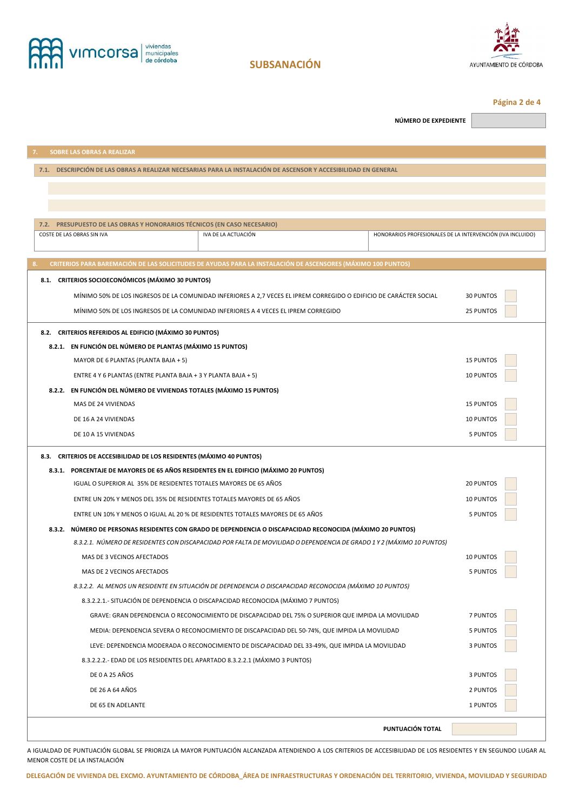



**Página 2 de 4** 

**NÚMERO DE EXPEDIENTE** 

| <b>SOBRE LAS OBRAS A REALIZAR</b><br>7.                                                                               |                                                            |  |  |  |  |
|-----------------------------------------------------------------------------------------------------------------------|------------------------------------------------------------|--|--|--|--|
| 7.1. DESCRIPCIÓN DE LAS OBRAS A REALIZAR NECESARIAS PARA LA INSTALACIÓN DE ASCENSOR Y ACCESIBILIDAD EN GENERAL        |                                                            |  |  |  |  |
|                                                                                                                       |                                                            |  |  |  |  |
|                                                                                                                       |                                                            |  |  |  |  |
|                                                                                                                       |                                                            |  |  |  |  |
| 7.2. PRESUPUESTO DE LAS OBRAS Y HONORARIOS TÉCNICOS (EN CASO NECESARIO)                                               |                                                            |  |  |  |  |
| COSTE DE LAS OBRAS SIN IVA<br>IVA DE LA ACTUACIÓN                                                                     | HONORARIOS PROFESIONALES DE LA INTERVENCIÓN (IVA INCLUIDO) |  |  |  |  |
|                                                                                                                       |                                                            |  |  |  |  |
| CRITERIOS PARA BAREMACIÓN DE LAS SOLICITUDES DE AYUDAS PARA LA INSTALACIÓN DE ASCENSORES (MÁXIMO 100 PUNTOS)          |                                                            |  |  |  |  |
| 8.1. CRITERIOS SOCIOECONÓMICOS (MÁXIMO 30 PUNTOS)                                                                     |                                                            |  |  |  |  |
| MÍNIMO 50% DE LOS INGRESOS DE LA COMUNIDAD INFERIORES A 2,7 VECES EL IPREM CORREGIDO O EDIFICIO DE CARÁCTER SOCIAL    | <b>30 PUNTOS</b>                                           |  |  |  |  |
| MÍNIMO 50% DE LOS INGRESOS DE LA COMUNIDAD INFERIORES A 4 VECES EL IPREM CORREGIDO                                    | 25 PUNTOS                                                  |  |  |  |  |
| 8.2. CRITERIOS REFERIDOS AL EDIFICIO (MÁXIMO 30 PUNTOS)                                                               |                                                            |  |  |  |  |
| 8.2.1. EN FUNCIÓN DEL NÚMERO DE PLANTAS (MÁXIMO 15 PUNTOS)                                                            |                                                            |  |  |  |  |
| MAYOR DE 6 PLANTAS (PLANTA BAJA + 5)                                                                                  | <b>15 PUNTOS</b>                                           |  |  |  |  |
| ENTRE 4 Y 6 PLANTAS (ENTRE PLANTA BAJA + 3 Y PLANTA BAJA + 5)                                                         | 10 PUNTOS                                                  |  |  |  |  |
| 8.2.2. EN FUNCIÓN DEL NÚMERO DE VIVIENDAS TOTALES (MÁXIMO 15 PUNTOS)                                                  |                                                            |  |  |  |  |
| MAS DE 24 VIVIENDAS                                                                                                   | <b>15 PUNTOS</b>                                           |  |  |  |  |
| DE 16 A 24 VIVIENDAS                                                                                                  | 10 PUNTOS                                                  |  |  |  |  |
| DE 10 A 15 VIVIENDAS                                                                                                  | 5 PUNTOS                                                   |  |  |  |  |
| 8.3. CRITERIOS DE ACCESIBILIDAD DE LOS RESIDENTES (MÁXIMO 40 PUNTOS)                                                  |                                                            |  |  |  |  |
| 8.3.1. PORCENTAJE DE MAYORES DE 65 AÑOS RESIDENTES EN EL EDIFICIO (MÁXIMO 20 PUNTOS)                                  |                                                            |  |  |  |  |
| IGUAL O SUPERIOR AL 35% DE RESIDENTES TOTALES MAYORES DE 65 AÑOS                                                      | 20 PUNTOS                                                  |  |  |  |  |
| ENTRE UN 20% Y MENOS DEL 35% DE RESIDENTES TOTALES MAYORES DE 65 AÑOS                                                 | <b>10 PUNTOS</b>                                           |  |  |  |  |
| ENTRE UN 10% Y MENOS O IGUAL AL 20 % DE RESIDENTES TOTALES MAYORES DE 65 AÑOS                                         | 5 PUNTOS                                                   |  |  |  |  |
| 8.3.2. NÚMERO DE PERSONAS RESIDENTES CON GRADO DE DEPENDENCIA O DISCAPACIDAD RECONOCIDA (MÁXIMO 20 PUNTOS)            |                                                            |  |  |  |  |
| 8.3.2.1. NÚMERO DE RESIDENTES CON DISCAPACIDAD POR FALTA DE MOVILIDAD O DEPENDENCIA DE GRADO 1 Y 2 (MÁXIMO 10 PUNTOS) |                                                            |  |  |  |  |
| MAS DE 3 VECINOS AFECTADOS                                                                                            | 10 PUNTOS                                                  |  |  |  |  |
| MAS DE 2 VECINOS AFECTADOS                                                                                            | <b>5 PUNTOS</b>                                            |  |  |  |  |
| 8.3.2.2. AL MENOS UN RESIDENTE EN SITUACIÓN DE DEPENDENCIA O DISCAPACIDAD RECONOCIDA (MÁXIMO 10 PUNTOS)               |                                                            |  |  |  |  |
| 8.3.2.2.1.- SITUACIÓN DE DEPENDENCIA O DISCAPACIDAD RECONOCIDA (MÁXIMO 7 PUNTOS)                                      |                                                            |  |  |  |  |
| GRAVE: GRAN DEPENDENCIA O RECONOCIMIENTO DE DISCAPACIDAD DEL 75% O SUPERIOR QUE IMPIDA LA MOVILIDAD                   | 7 PUNTOS                                                   |  |  |  |  |
| MEDIA: DEPENDENCIA SEVERA O RECONOCIMIENTO DE DISCAPACIDAD DEL 50-74%, QUE IMPIDA LA MOVILIDAD                        | 5 PUNTOS                                                   |  |  |  |  |
| LEVE: DEPENDENCIA MODERADA O RECONOCIMIENTO DE DISCAPACIDAD DEL 33-49%, QUE IMPIDA LA MOVILIDAD                       | 3 PUNTOS                                                   |  |  |  |  |
| 8.3.2.2.2. EDAD DE LOS RESIDENTES DEL APARTADO 8.3.2.2.1 (MÁXIMO 3 PUNTOS)                                            |                                                            |  |  |  |  |
| DE 0 A 25 AÑOS                                                                                                        | 3 PUNTOS                                                   |  |  |  |  |
| DE 26 A 64 AÑOS                                                                                                       | 2 PUNTOS                                                   |  |  |  |  |
| DE 65 EN ADELANTE                                                                                                     | 1 PUNTOS                                                   |  |  |  |  |
|                                                                                                                       | PUNTUACIÓN TOTAL                                           |  |  |  |  |
|                                                                                                                       |                                                            |  |  |  |  |

A IGUALDAD DE PUNTUACIÓN GLOBAL SE PRIORIZA LA MAYOR PUNTUACIÓN ALCANZADA ATENDIENDO A LOS CRITERIOS DE ACCESIBILIDAD DE LOS RESIDENTES Y EN SEGUNDO LUGAR AL MENOR COSTE DE LA INSTALACIÓN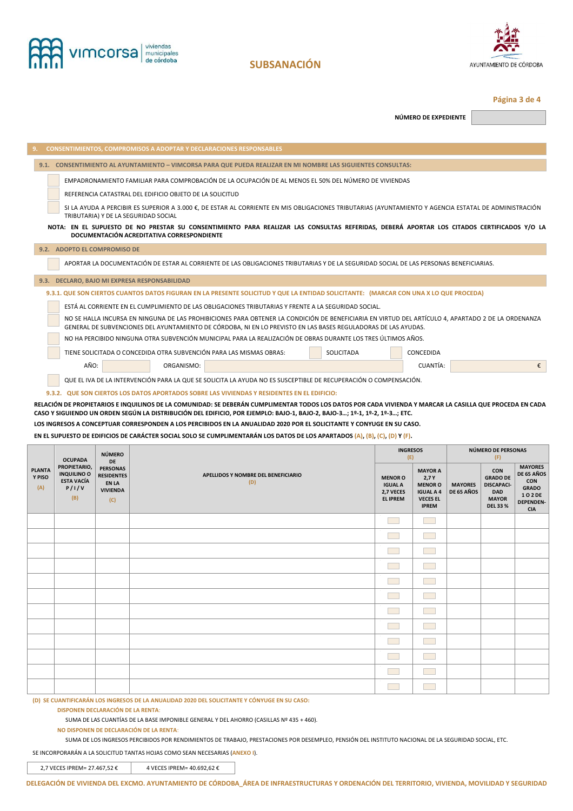



**Página 3 de 4** 

**NÚMERO DE EXPEDIENTE** 

|                                                                                                                                                                                                                                                                                       |                                                                                    |                                                                                      | <b>CONSENTIMIENTOS, COMPROMISOS A ADOPTAR Y DECLARACIONES RESPONSABLES</b>                                                                                                                                                                                           |            |                                               |                                                               |                              |                                                                  |                                                                     |
|---------------------------------------------------------------------------------------------------------------------------------------------------------------------------------------------------------------------------------------------------------------------------------------|------------------------------------------------------------------------------------|--------------------------------------------------------------------------------------|----------------------------------------------------------------------------------------------------------------------------------------------------------------------------------------------------------------------------------------------------------------------|------------|-----------------------------------------------|---------------------------------------------------------------|------------------------------|------------------------------------------------------------------|---------------------------------------------------------------------|
|                                                                                                                                                                                                                                                                                       |                                                                                    |                                                                                      | 9.1. CONSENTIMIENTO AL AYUNTAMIENTO - VIMCORSA PARA QUE PUEDA REALIZAR EN MI NOMBRE LAS SIGUIENTES CONSULTAS:                                                                                                                                                        |            |                                               |                                                               |                              |                                                                  |                                                                     |
|                                                                                                                                                                                                                                                                                       |                                                                                    |                                                                                      | EMPADRONAMIENTO FAMILIAR PARA COMPROBACIÓN DE LA OCUPACIÓN DE AL MENOS EL 50% DEL NÚMERO DE VIVIENDAS                                                                                                                                                                |            |                                               |                                                               |                              |                                                                  |                                                                     |
|                                                                                                                                                                                                                                                                                       |                                                                                    |                                                                                      | REFERENCIA CATASTRAL DEL EDIFICIO OBJETO DE LA SOLICITUD                                                                                                                                                                                                             |            |                                               |                                                               |                              |                                                                  |                                                                     |
|                                                                                                                                                                                                                                                                                       |                                                                                    |                                                                                      | SI LA AYUDA A PERCIBIR ES SUPERIOR A 3.000 €, DE ESTAR AL CORRIENTE EN MIS OBLIGACIONES TRIBUTARIAS (AYUNTAMIENTO Y AGENCIA ESTATAL DE ADMINISTRACIÓN<br>TRIBUTARIA) Y DE LA SEGURIDAD SOCIAL                                                                        |            |                                               |                                                               |                              |                                                                  |                                                                     |
|                                                                                                                                                                                                                                                                                       |                                                                                    |                                                                                      | NOTA: EN EL SUPUESTO DE NO PRESTAR SU CONSENTIMIENTO PARA REALIZAR LAS CONSULTAS REFERIDAS, DEBERÁ APORTAR LOS CITADOS CERTIFICADOS Y/O LA<br>DOCUMENTACIÓN ACREDITATIVA CORRESPONDIENTE                                                                             |            |                                               |                                                               |                              |                                                                  |                                                                     |
|                                                                                                                                                                                                                                                                                       | 9.2. ADOPTO EL COMPROMISO DE                                                       |                                                                                      |                                                                                                                                                                                                                                                                      |            |                                               |                                                               |                              |                                                                  |                                                                     |
|                                                                                                                                                                                                                                                                                       |                                                                                    |                                                                                      | APORTAR LA DOCUMENTACIÓN DE ESTAR AL CORRIENTE DE LAS OBLIGACIONES TRIBUTARIAS Y DE LA SEGURIDAD SOCIAL DE LAS PERSONAS BENEFICIARIAS.                                                                                                                               |            |                                               |                                                               |                              |                                                                  |                                                                     |
|                                                                                                                                                                                                                                                                                       |                                                                                    |                                                                                      | 9.3. DECLARO, BAJO MI EXPRESA RESPONSABILIDAD                                                                                                                                                                                                                        |            |                                               |                                                               |                              |                                                                  |                                                                     |
|                                                                                                                                                                                                                                                                                       |                                                                                    |                                                                                      | 9.3.1. QUE SON CIERTOS CUANTOS DATOS FIGURAN EN LA PRESENTE SOLICITUD Y QUE LA ENTIDAD SOLICITANTE: (MARCAR CON UNA X LO QUE PROCEDA)                                                                                                                                |            |                                               |                                                               |                              |                                                                  |                                                                     |
|                                                                                                                                                                                                                                                                                       |                                                                                    |                                                                                      | ESTÁ AL CORRIENTE EN EL CUMPLIMIENTO DE LAS OBLIGACIONES TRIBUTARIAS Y FRENTE A LA SEGURIDAD SOCIAL.                                                                                                                                                                 |            |                                               |                                                               |                              |                                                                  |                                                                     |
|                                                                                                                                                                                                                                                                                       |                                                                                    |                                                                                      | NO SE HALLA INCURSA EN NINGUNA DE LAS PROHIBICIONES PARA OBTENER LA CONDICIÓN DE BENEFICIARIA EN VIRTUD DEL ARTÍCULO 4, APARTADO 2 DE LA ORDENANZA<br>GENERAL DE SUBVENCIONES DEL AYUNTAMIENTO DE CÓRDOBA, NI EN LO PREVISTO EN LAS BASES REGULADORAS DE LAS AYUDAS. |            |                                               |                                                               |                              |                                                                  |                                                                     |
|                                                                                                                                                                                                                                                                                       |                                                                                    |                                                                                      | NO HA PERCIBIDO NINGUNA OTRA SUBVENCIÓN MUNICIPAL PARA LA REALIZACIÓN DE OBRAS DURANTE LOS TRES ÚLTIMOS AÑOS.                                                                                                                                                        |            |                                               |                                                               |                              |                                                                  |                                                                     |
|                                                                                                                                                                                                                                                                                       |                                                                                    |                                                                                      | TIENE SOLICITADA O CONCEDIDA OTRA SUBVENCIÓN PARA LAS MISMAS OBRAS:                                                                                                                                                                                                  | SOLICITADA |                                               | CONCEDIDA                                                     |                              |                                                                  |                                                                     |
|                                                                                                                                                                                                                                                                                       | AÑO:                                                                               |                                                                                      | ORGANISMO:                                                                                                                                                                                                                                                           |            |                                               | CUANTÍA:                                                      |                              |                                                                  | €                                                                   |
|                                                                                                                                                                                                                                                                                       |                                                                                    |                                                                                      | QUE EL IVA DE LA INTERVENCIÓN PARA LA QUE SE SOLICITA LA AYUDA NO ES SUSCEPTIBLE DE RECUPERACIÓN O COMPENSACIÓN.                                                                                                                                                     |            |                                               |                                                               |                              |                                                                  |                                                                     |
|                                                                                                                                                                                                                                                                                       |                                                                                    |                                                                                      | 9.3.2. QUE SON CIERTOS LOS DATOS APORTADOS SOBRE LAS VIVIENDAS Y RESIDENTES EN EL EDIFICIO:                                                                                                                                                                          |            |                                               |                                                               |                              |                                                                  |                                                                     |
| RELACIÓN DE PROPIETARIOS E INQUILINOS DE LA COMUNIDAD: SE DEBERÁN CUMPLIMENTAR TODOS LOS DATOS POR CADA VIVIENDA Y MARCAR LA CASILLA QUE PROCEDA EN CADA<br>CASO Y SIGUIENDO UN ORDEN SEGÚN LA DISTRIBUCIÓN DEL EDIFICIO, POR EJEMPLO: BAJO-1, BAJO-2, BAJO-3; 1º-1, 1º-2, 1º-3; ETC. |                                                                                    |                                                                                      |                                                                                                                                                                                                                                                                      |            |                                               |                                                               |                              |                                                                  |                                                                     |
|                                                                                                                                                                                                                                                                                       |                                                                                    |                                                                                      |                                                                                                                                                                                                                                                                      |            |                                               |                                                               |                              |                                                                  |                                                                     |
|                                                                                                                                                                                                                                                                                       |                                                                                    |                                                                                      | LOS INGRESOS A CONCEPTUAR CORRESPONDEN A LOS PERCIBIDOS EN LA ANUALIDAD 2020 POR EL SOLICITANTE Y CONYUGE EN SU CASO.                                                                                                                                                |            |                                               |                                                               |                              |                                                                  |                                                                     |
|                                                                                                                                                                                                                                                                                       |                                                                                    |                                                                                      | EN EL SUPUESTO DE EDIFICIOS DE CARÁCTER SOCIAL SOLO SE CUMPLIMENTARÁN LOS DATOS DE LOS APARTADOS (A), (B), (C), (D) Y (F).                                                                                                                                           |            |                                               |                                                               |                              |                                                                  |                                                                     |
|                                                                                                                                                                                                                                                                                       |                                                                                    | <b>NÚMERO</b>                                                                        |                                                                                                                                                                                                                                                                      |            |                                               | <b>INGRESOS</b><br>(E)                                        |                              | NÚMERO DE PERSONAS<br>(F)                                        |                                                                     |
| <b>PLANTA</b><br>Y PISO<br>(A)                                                                                                                                                                                                                                                        | <b>OCUPADA</b><br>PROPIETARIO,<br><b>INQUILINO O</b><br><b>ESTA VACÍA</b><br>P/I/V | <b>DE</b><br><b>PERSONAS</b><br><b>RESIDENTES</b><br><b>EN LA</b><br><b>VIVIENDA</b> | APELLIDOS Y NOMBRE DEL BENEFICIARIO<br>(D)                                                                                                                                                                                                                           |            | <b>MENOR O</b><br><b>IGUAL A</b><br>2,7 VECES | <b>MAYOR A</b><br>2,7 Y<br><b>MENOR O</b><br><b>IGUAL A 4</b> | <b>MAYORES</b><br>DE 65 AÑOS | <b>CON</b><br><b>GRADO DE</b><br><b>DISCAPACI-</b><br><b>DAD</b> | <b>MAYORES</b><br>DE 65 AÑOS<br><b>CON</b><br><b>GRADO</b><br>102DE |
|                                                                                                                                                                                                                                                                                       | (B)                                                                                | (C)                                                                                  |                                                                                                                                                                                                                                                                      |            | <b>EL IPREM</b>                               | <b>VECES EL</b><br><b>IPREM</b>                               |                              | <b>MAYOR</b><br><b>DEL 33 %</b>                                  | <b>DEPENDEN-</b><br><b>CIA</b>                                      |
|                                                                                                                                                                                                                                                                                       |                                                                                    |                                                                                      |                                                                                                                                                                                                                                                                      |            | $\sim$ 10 $\pm$                               | <b>Contract</b>                                               |                              |                                                                  |                                                                     |
|                                                                                                                                                                                                                                                                                       |                                                                                    |                                                                                      |                                                                                                                                                                                                                                                                      |            | - 1                                           | <b>Contract</b>                                               |                              |                                                                  |                                                                     |
|                                                                                                                                                                                                                                                                                       |                                                                                    |                                                                                      |                                                                                                                                                                                                                                                                      |            |                                               |                                                               |                              |                                                                  |                                                                     |
|                                                                                                                                                                                                                                                                                       |                                                                                    |                                                                                      |                                                                                                                                                                                                                                                                      |            |                                               | <b>Contract</b>                                               |                              |                                                                  |                                                                     |
|                                                                                                                                                                                                                                                                                       |                                                                                    |                                                                                      |                                                                                                                                                                                                                                                                      |            |                                               |                                                               |                              |                                                                  |                                                                     |
|                                                                                                                                                                                                                                                                                       |                                                                                    |                                                                                      |                                                                                                                                                                                                                                                                      |            | <b>Contract</b>                               | <b>Contract</b>                                               |                              |                                                                  |                                                                     |
|                                                                                                                                                                                                                                                                                       |                                                                                    |                                                                                      |                                                                                                                                                                                                                                                                      |            | l a l                                         | <b>Contract</b>                                               |                              |                                                                  |                                                                     |
|                                                                                                                                                                                                                                                                                       |                                                                                    |                                                                                      |                                                                                                                                                                                                                                                                      |            | <b>Contract</b>                               | <b>The Co</b>                                                 |                              |                                                                  |                                                                     |
|                                                                                                                                                                                                                                                                                       |                                                                                    |                                                                                      |                                                                                                                                                                                                                                                                      |            | <b>Common</b>                                 | <b>Contract</b>                                               |                              |                                                                  |                                                                     |
|                                                                                                                                                                                                                                                                                       |                                                                                    |                                                                                      |                                                                                                                                                                                                                                                                      |            | <b>Common</b>                                 | <b>Contract</b>                                               |                              |                                                                  |                                                                     |

**(D) SE CUANTIFICARÁN LOS INGRESOS DE LA ANUALIDAD 2020 DEL SOLICITANTE Y CÓNYUGE EN SU CASO:** 

**DISPONEN DECLARACIÓN DE LA RENTA**:

SUMA DE LAS CUANTÍAS DE LA BASE IMPONIBLE GENERAL Y DEL AHORRO (CASILLAS Nº 435 + 460).

**NO DISPONEN DE DECLARACIÓN DE LA RENTA**:

SUMA DE LOS INGRESOS PERCIBIDOS POR RENDIMIENTOS DE TRABAJO, PRESTACIONES POR DESEMPLEO, PENSIÓN DEL INSTITUTO NACIONAL DE LA SEGURIDAD SOCIAL, ETC.

 $\mathcal{L}^{\text{max}}$ 

 $\sim$ 

SE INCORPORARÁN A LA SOLICITUD TANTAS HOJAS COMO SEAN NECESARIAS (**ANEXO I**).

2,7 VECES IPREM= 27.467,52 € 4 VECES IPREM= 40.692,62 €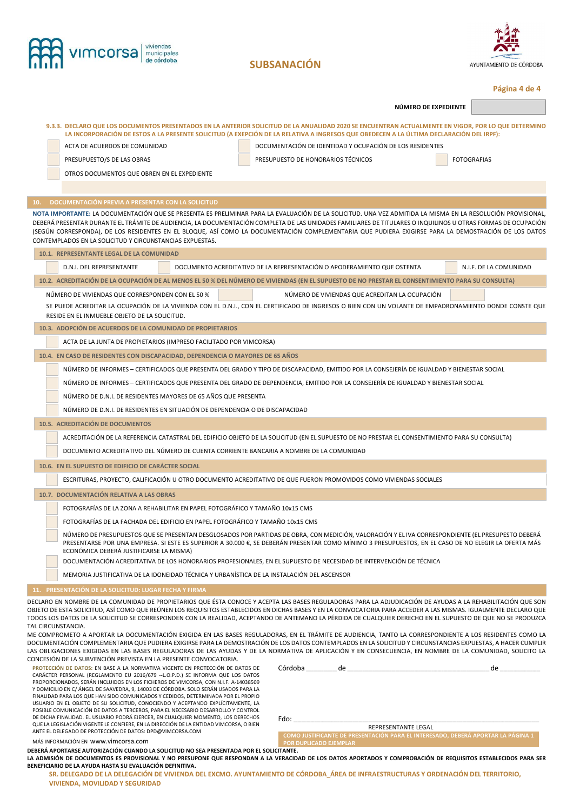|                    | vimcorsa                                                                                                                                                                                                                                                                                                                                                                                                                                                                                                                                                                                                                                                                                                                                                                                                                                                                                                                                                                                                                                                     |                                                                                                            |                      |                         |
|--------------------|--------------------------------------------------------------------------------------------------------------------------------------------------------------------------------------------------------------------------------------------------------------------------------------------------------------------------------------------------------------------------------------------------------------------------------------------------------------------------------------------------------------------------------------------------------------------------------------------------------------------------------------------------------------------------------------------------------------------------------------------------------------------------------------------------------------------------------------------------------------------------------------------------------------------------------------------------------------------------------------------------------------------------------------------------------------|------------------------------------------------------------------------------------------------------------|----------------------|-------------------------|
|                    |                                                                                                                                                                                                                                                                                                                                                                                                                                                                                                                                                                                                                                                                                                                                                                                                                                                                                                                                                                                                                                                              | <b>SUBSANACIÓN</b>                                                                                         |                      | AYUNTAMIENTO DE CÓRDOBA |
|                    |                                                                                                                                                                                                                                                                                                                                                                                                                                                                                                                                                                                                                                                                                                                                                                                                                                                                                                                                                                                                                                                              |                                                                                                            |                      | Página 4 de 4           |
|                    |                                                                                                                                                                                                                                                                                                                                                                                                                                                                                                                                                                                                                                                                                                                                                                                                                                                                                                                                                                                                                                                              |                                                                                                            | NÚMERO DE EXPEDIENTE |                         |
|                    | 9.3.3. DECLARO QUE LOS DOCUMENTOS PRESENTADOS EN LA ANTERIOR SOLICITUD DE LA ANUALIDAD 2020 SE ENCUENTRAN ACTUALMENTE EN VIGOR, POR LO QUE DETERMINO<br>LA INCORPORACIÓN DE ESTOS A LA PRESENTE SOLICITUD (A EXEPCIÓN DE LA RELATIVA A INGRESOS QUE OBEDECEN A LA ÚLTIMA DECLARACIÓN DEL IRPF):<br>ACTA DE ACUERDOS DE COMUNIDAD<br>PRESUPUESTO/S DE LAS OBRAS<br>OTROS DOCUMENTOS QUE OBREN EN EL EXPEDIENTE                                                                                                                                                                                                                                                                                                                                                                                                                                                                                                                                                                                                                                                | DOCUMENTACIÓN DE IDENTIDAD Y OCUPACIÓN DE LOS RESIDENTES<br>PRESUPUESTO DE HONORARIOS TÉCNICOS             |                      | <b>FOTOGRAFIAS</b>      |
| 10.                | DOCUMENTACIÓN PREVIA A PRESENTAR CON LA SOLICITUD                                                                                                                                                                                                                                                                                                                                                                                                                                                                                                                                                                                                                                                                                                                                                                                                                                                                                                                                                                                                            |                                                                                                            |                      |                         |
|                    | NOTA IMPORTANTE: LA DOCUMENTACIÓN QUE SE PRESENTA ES PRELIMINAR PARA LA EVALUACIÓN DE LA SOLICITUD. UNA VEZ ADMITIDA LA MISMA EN LA RESOLUCIÓN PROVISIONAL,<br>DEBERÁ PRESENTAR DURANTE EL TRÁMITE DE AUDIENCIA, LA DOCUMENTACIÓN COMPLETA DE LAS UNIDADES FAMILIARES DE TITULARES O INQUILINOS U OTRAS FORMAS DE OCUPACIÓN<br>(SEGÚN CORRESPONDA), DE LOS RESIDENTES EN EL BLOQUE, ASÍ COMO LA DOCUMENTACIÓN COMPLEMENTARIA QUE PUDIERA EXIGIRSE PARA LA DEMOSTRACIÓN DE LOS DATOS<br>CONTEMPLADOS EN LA SOLICITUD Y CIRCUNSTANCIAS EXPUESTAS.<br>10.1. REPRESENTANTE LEGAL DE LA COMUNIDAD                                                                                                                                                                                                                                                                                                                                                                                                                                                                 |                                                                                                            |                      |                         |
|                    | D.N.I. DEL REPRESENTANTE                                                                                                                                                                                                                                                                                                                                                                                                                                                                                                                                                                                                                                                                                                                                                                                                                                                                                                                                                                                                                                     | DOCUMENTO ACREDITATIVO DE LA REPRESENTACIÓN O APODERAMIENTO QUE OSTENTA                                    |                      | N.I.F. DE LA COMUNIDAD  |
|                    |                                                                                                                                                                                                                                                                                                                                                                                                                                                                                                                                                                                                                                                                                                                                                                                                                                                                                                                                                                                                                                                              |                                                                                                            |                      |                         |
|                    | 10.2. ACREDITACIÓN DE LA OCUPACIÓN DE AL MENOS EL 50 % DEL NÚMERO DE VIVIENDAS (EN EL SUPUESTO DE NO PRESTAR EL CONSENTIMIENTO PARA SU CONSULTA)                                                                                                                                                                                                                                                                                                                                                                                                                                                                                                                                                                                                                                                                                                                                                                                                                                                                                                             |                                                                                                            |                      |                         |
|                    | NÚMERO DE VIVIENDAS QUE CORRESPONDEN CON EL 50 %<br>SE PUEDE ACREDITAR LA OCUPACIÓN DE LA VIVIENDA CON EL D.N.I., CON EL CERTIFICADO DE INGRESOS O BIEN CON UN VOLANTE DE EMPADRONAMIENTO DONDE CONSTE QUE<br>RESIDE EN EL INMUEBLE OBJETO DE LA SOLICITUD.                                                                                                                                                                                                                                                                                                                                                                                                                                                                                                                                                                                                                                                                                                                                                                                                  | NÚMERO DE VIVIENDAS QUE ACREDITAN LA OCUPACIÓN                                                             |                      |                         |
|                    | 10.3. ADOPCIÓN DE ACUERDOS DE LA COMUNIDAD DE PROPIETARIOS                                                                                                                                                                                                                                                                                                                                                                                                                                                                                                                                                                                                                                                                                                                                                                                                                                                                                                                                                                                                   |                                                                                                            |                      |                         |
|                    | ACTA DE LA JUNTA DE PROPIETARIOS (IMPRESO FACILITADO POR VIMCORSA)                                                                                                                                                                                                                                                                                                                                                                                                                                                                                                                                                                                                                                                                                                                                                                                                                                                                                                                                                                                           |                                                                                                            |                      |                         |
|                    | 10.4. EN CASO DE RESIDENTES CON DISCAPACIDAD, DEPENDENCIA O MAYORES DE 65 AÑOS                                                                                                                                                                                                                                                                                                                                                                                                                                                                                                                                                                                                                                                                                                                                                                                                                                                                                                                                                                               |                                                                                                            |                      |                         |
|                    | NÚMERO DE INFORMES – CERTIFICADOS QUE PRESENTA DEL GRADO Y TIPO DE DISCAPACIDAD, EMITIDO POR LA CONSEJERÍA DE IGUALDAD Y BIENESTAR SOCIAL                                                                                                                                                                                                                                                                                                                                                                                                                                                                                                                                                                                                                                                                                                                                                                                                                                                                                                                    |                                                                                                            |                      |                         |
|                    | NÚMERO DE INFORMES - CERTIFICADOS QUE PRESENTA DEL GRADO DE DEPENDENCIA, EMITIDO POR LA CONSEJERÍA DE IGUALDAD Y BIENESTAR SOCIAL                                                                                                                                                                                                                                                                                                                                                                                                                                                                                                                                                                                                                                                                                                                                                                                                                                                                                                                            |                                                                                                            |                      |                         |
|                    | NÚMERO DE D.N.I. DE RESIDENTES MAYORES DE 65 AÑOS QUE PRESENTA                                                                                                                                                                                                                                                                                                                                                                                                                                                                                                                                                                                                                                                                                                                                                                                                                                                                                                                                                                                               |                                                                                                            |                      |                         |
|                    | NÚMERO DE D.N.I. DE RESIDENTES EN SITUACIÓN DE DEPENDENCIA O DE DISCAPACIDAD                                                                                                                                                                                                                                                                                                                                                                                                                                                                                                                                                                                                                                                                                                                                                                                                                                                                                                                                                                                 |                                                                                                            |                      |                         |
|                    | 10.5. ACREDITACIÓN DE DOCUMENTOS                                                                                                                                                                                                                                                                                                                                                                                                                                                                                                                                                                                                                                                                                                                                                                                                                                                                                                                                                                                                                             |                                                                                                            |                      |                         |
|                    | ACREDITACIÓN DE LA REFERENCIA CATASTRAL DEL EDIFICIO OBJETO DE LA SOLICITUD (EN EL SUPUESTO DE NO PRESTAR EL CONSENTIMIENTO PARA SU CONSULTA)                                                                                                                                                                                                                                                                                                                                                                                                                                                                                                                                                                                                                                                                                                                                                                                                                                                                                                                |                                                                                                            |                      |                         |
|                    | DOCUMENTO ACREDITATIVO DEL NÚMERO DE CUENTA CORRIENTE BANCARIA A NOMBRE DE LA COMUNIDAD                                                                                                                                                                                                                                                                                                                                                                                                                                                                                                                                                                                                                                                                                                                                                                                                                                                                                                                                                                      |                                                                                                            |                      |                         |
|                    | 10.6. EN EL SUPUESTO DE EDIFICIO DE CARÁCTER SOCIAL                                                                                                                                                                                                                                                                                                                                                                                                                                                                                                                                                                                                                                                                                                                                                                                                                                                                                                                                                                                                          |                                                                                                            |                      |                         |
|                    | ESCRITURAS, PROYECTO, CALIFICACIÓN U OTRO DOCUMENTO ACREDITATIVO DE QUE FUERON PROMOVIDOS COMO VIVIENDAS SOCIALES                                                                                                                                                                                                                                                                                                                                                                                                                                                                                                                                                                                                                                                                                                                                                                                                                                                                                                                                            |                                                                                                            |                      |                         |
|                    | 10.7. DOCUMENTACIÓN RELATIVA A LAS OBRAS                                                                                                                                                                                                                                                                                                                                                                                                                                                                                                                                                                                                                                                                                                                                                                                                                                                                                                                                                                                                                     |                                                                                                            |                      |                         |
|                    | FOTOGRAFÍAS DE LA ZONA A REHABILITAR EN PAPEL FOTOGRÁFICO Y TAMAÑO 10x15 CMS                                                                                                                                                                                                                                                                                                                                                                                                                                                                                                                                                                                                                                                                                                                                                                                                                                                                                                                                                                                 |                                                                                                            |                      |                         |
|                    | FOTOGRAFÍAS DE LA FACHADA DEL EDIFICIO EN PAPEL FOTOGRÁFICO Y TAMAÑO 10x15 CMS                                                                                                                                                                                                                                                                                                                                                                                                                                                                                                                                                                                                                                                                                                                                                                                                                                                                                                                                                                               |                                                                                                            |                      |                         |
|                    | NÚMERO DE PRESUPUESTOS QUE SE PRESENTAN DESGLOSADOS POR PARTIDAS DE OBRA, CON MEDICIÓN, VALORACIÓN Y EL IVA CORRESPONDIENTE (EL PRESUPESTO DEBERÁ<br>PRESENTARSE POR UNA EMPRESA. SI ESTE ES SUPERIOR A 30.000 €. SE DEBERÁN PRESENTAR COMO MÍNIMO 3 PRESUPUESTOS. EN EL CASO DE NO ELEGIR LA OFERTA MÁS<br>ECONÓMICA DEBERÁ JUSTIFICARSE LA MISMA)                                                                                                                                                                                                                                                                                                                                                                                                                                                                                                                                                                                                                                                                                                          |                                                                                                            |                      |                         |
|                    | DOCUMENTACIÓN ACREDITATIVA DE LOS HONORARIOS PROFESIONALES, EN EL SUPUESTO DE NECESIDAD DE INTERVENCIÓN DE TÉCNICA                                                                                                                                                                                                                                                                                                                                                                                                                                                                                                                                                                                                                                                                                                                                                                                                                                                                                                                                           |                                                                                                            |                      |                         |
|                    | MEMORIA JUSTIFICATIVA DE LA IDONEIDAD TÉCNICA Y URBANÍSTICA DE LA INSTALACIÓN DEL ASCENSOR                                                                                                                                                                                                                                                                                                                                                                                                                                                                                                                                                                                                                                                                                                                                                                                                                                                                                                                                                                   |                                                                                                            |                      |                         |
|                    | 11. PRESENTACIÓN DE LA SOLICITUD: LUGAR FECHA Y FIRMA                                                                                                                                                                                                                                                                                                                                                                                                                                                                                                                                                                                                                                                                                                                                                                                                                                                                                                                                                                                                        |                                                                                                            |                      |                         |
| TAL CIRCUNSTANCIA. | DECLARO EN NOMBRE DE LA COMUNIDAD DE PROPIETARIOS QUE ÉSTA CONOCE Y ACEPTA LAS BASES REGULADORAS PARA LA ADJUDICACIÓN DE AYUDAS A LA REHABILITACIÓN QUE SON<br>OBJETO DE ESTA SOLICITUD, ASÍ COMO QUE REÚNEN LOS REQUISITOS ESTABLECIDOS EN DICHAS BASES Y EN LA CONVOCATORIA PARA ACCEDER A LAS MISMAS. IGUALMENTE DECLARO QUE<br>TODOS LOS DATOS DE LA SOLICITUD SE CORRESPONDEN CON LA REALIDAD, ACEPTANDO DE ANTEMANO LA PÉRDIDA DE CUALQUIER DERECHO EN EL SUPUESTO DE QUE NO SE PRODUZCA<br>ME COMPROMETO A APORTAR LA DOCUMENTACIÓN EXIGIDA EN LAS BASES REGULADORAS, EN EL TRÁMITE DE AUDIENCIA, TANTO LA CORRESPONDIENTE A LOS RESIDENTES COMO LA<br>DOCUMENTACIÓN COMPLEMENTARIA QUE PUDIERA EXIGIRSE PARA LA DEMOSTRACIÓN DE LOS DATOS CONTEMPLADOS EN LA SOLICITUD Y CIRCUNSTANCIAS EXPUESTAS, A HACER CUMPLIR<br>LAS OBLIGACIONES EXIGIDAS EN LAS BASES REGULADORAS DE LAS AYUDAS Y DE LA NORMATIVA DE APLICACIÓN Y EN CONSECUENCIA, EN NOMBRE DE LA COMUNIDAD, SOLICITO LA<br>CONCESIÓN DE LA SUBVENCIÓN PREVISTA EN LA PRESENTE CONVOCATORIA. |                                                                                                            |                      |                         |
|                    | PROTECCIÓN DE DATOS: EN BASE A LA NORMATIVA VIGENTE EN PROTECCIÓN DE DATOS DE<br>CARÁCTER PERSONAL (REGLAMENTO EU 2016/679 --L.O.P.D.) SE INFORMA QUE LOS DATOS<br>PROPORCIONADOS, SERÁN INCLUIDOS EN LOS FICHEROS DE VIMCORSA, CON N.I.F. A-14038509<br>Y DOMICILIO EN C/ÁNGEL DE SAAVEDRA, 9, 14003 DE CÓRDOBA. SOLO SERÁN USADOS PARA LA<br>FINALIDAD PARA LOS QUE HAN SIDO COMUNICADOS Y CEDIDOS, DETERMINADA POR EL PROPIO<br>USUARIO EN EL OBJETO DE SU SOLICITUD, CONOCIENDO Y ACEPTANDO EXPLÍCITAMENTE, LA<br>POSIBLE COMUNICACIÓN DE DATOS A TERCEROS, PARA EL NECESARIO DESARROLLO Y CONTROL<br>DE DICHA FINALIDAD. EL USUARIO PODRÁ EJERCER, EN CUALQUIER MOMENTO, LOS DERECHOS                                                                                                                                                                                                                                                                                                                                                                   | Córdoba<br>de<br>Fdo:                                                                                      |                      | de                      |
|                    | QUE LA LEGISLACIÓN VIGENTE LE CONFIERE, EN LA DIRECCIÓN DE LA ENTIDAD VIMCORSA, O BIEN<br>ANTE EL DELEGADO DE PROTECCIÓN DE DATOS: DPD@VIMCORSA.COM                                                                                                                                                                                                                                                                                                                                                                                                                                                                                                                                                                                                                                                                                                                                                                                                                                                                                                          |                                                                                                            | REPRESENTANTE LEGAL  |                         |
|                    | MÁS INFORMACIÓN EN WWW.VIMCOrsa.com                                                                                                                                                                                                                                                                                                                                                                                                                                                                                                                                                                                                                                                                                                                                                                                                                                                                                                                                                                                                                          | COMO JUSTIFICANTE DE PRESENTACIÓN PARA EL INTERESADO, DEBERÁ APORTAR LA PÁGINA 1<br>POR DUPLICADO EJEMPLAR |                      |                         |
|                    | DEBERÁ APORTARSE AUTORIZACIÓN CUANDO LA SOLICITUD NO SEA PRESENTADA POR EL SOLICITANTE.<br>LA ADMISIÓN DE DOCUMENTOS ES PROVISIONAL Y NO PRESUPONE QUE RESPONDAN A LA VERACIDAD DE LOS DATOS APORTADOS Y COMPROBACIÓN DE REQUISITOS ESTABLECIDOS PARA SER                                                                                                                                                                                                                                                                                                                                                                                                                                                                                                                                                                                                                                                                                                                                                                                                    |                                                                                                            |                      |                         |

Ŀ.

LA ADMISIÓN DE DOCUMENTOS ES PROVISIONAL Y NO PRESUPONE QUE RESPONDAN A LA VERACIDAD DE LOS DATOS APORTADOS Y COMPROBACIÓN DE REQUISITOS ESTABLECIDOS PARA SER<br>BENEFICIARIO DE LA AYUDA HASTA SU EVALUACIÓN DE VIVIENDA DEL EX **VIVIENDA, MOVILIDAD Y SEGURIDAD**